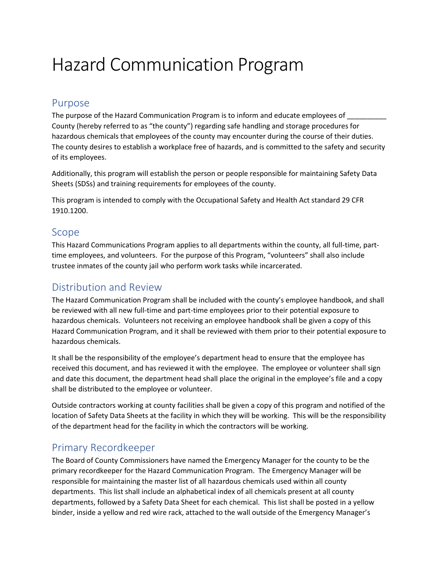# Hazard Communication Program

#### Purpose

The purpose of the Hazard Communication Program is to inform and educate employees of County (hereby referred to as "the county") regarding safe handling and storage procedures for hazardous chemicals that employees of the county may encounter during the course of their duties. The county desires to establish a workplace free of hazards, and is committed to the safety and security of its employees.

Additionally, this program will establish the person or people responsible for maintaining Safety Data Sheets (SDSs) and training requirements for employees of the county.

This program is intended to comply with the Occupational Safety and Health Act standard 29 CFR 1910.1200.

#### Scope

This Hazard Communications Program applies to all departments within the county, all full-time, parttime employees, and volunteers. For the purpose of this Program, "volunteers" shall also include trustee inmates of the county jail who perform work tasks while incarcerated.

### Distribution and Review

The Hazard Communication Program shall be included with the county's employee handbook, and shall be reviewed with all new full-time and part-time employees prior to their potential exposure to hazardous chemicals. Volunteers not receiving an employee handbook shall be given a copy of this Hazard Communication Program, and it shall be reviewed with them prior to their potential exposure to hazardous chemicals.

It shall be the responsibility of the employee's department head to ensure that the employee has received this document, and has reviewed it with the employee. The employee or volunteer shall sign and date this document, the department head shall place the original in the employee's file and a copy shall be distributed to the employee or volunteer.

Outside contractors working at county facilities shall be given a copy of this program and notified of the location of Safety Data Sheets at the facility in which they will be working. This will be the responsibility of the department head for the facility in which the contractors will be working.

## Primary Recordkeeper

The Board of County Commissioners have named the Emergency Manager for the county to be the primary recordkeeper for the Hazard Communication Program. The Emergency Manager will be responsible for maintaining the master list of all hazardous chemicals used within all county departments. This list shall include an alphabetical index of all chemicals present at all county departments, followed by a Safety Data Sheet for each chemical. This list shall be posted in a yellow binder, inside a yellow and red wire rack, attached to the wall outside of the Emergency Manager's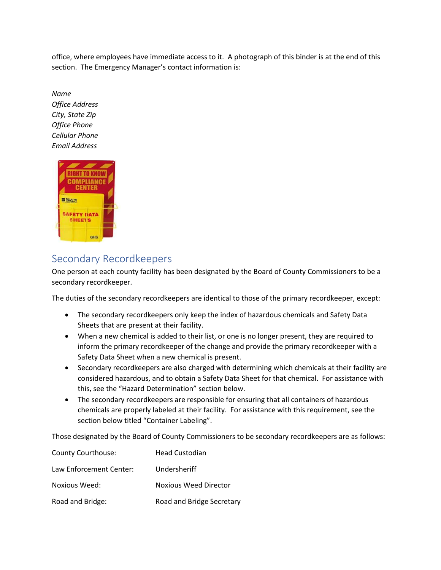office, where employees have immediate access to it. A photograph of this binder is at the end of this section. The Emergency Manager's contact information is:

*Name Office Address City, State Zip Office Phone Cellular Phone Email Address*



# Secondary Recordkeepers

One person at each county facility has been designated by the Board of County Commissioners to be a secondary recordkeeper.

The duties of the secondary recordkeepers are identical to those of the primary recordkeeper, except:

- The secondary recordkeepers only keep the index of hazardous chemicals and Safety Data Sheets that are present at their facility.
- When a new chemical is added to their list, or one is no longer present, they are required to inform the primary recordkeeper of the change and provide the primary recordkeeper with a Safety Data Sheet when a new chemical is present.
- Secondary recordkeepers are also charged with determining which chemicals at their facility are considered hazardous, and to obtain a Safety Data Sheet for that chemical. For assistance with this, see the "Hazard Determination" section below.
- The secondary recordkeepers are responsible for ensuring that all containers of hazardous chemicals are properly labeled at their facility. For assistance with this requirement, see the section below titled "Container Labeling".

Those designated by the Board of County Commissioners to be secondary recordkeepers are as follows:

| <b>County Courthouse:</b> | <b>Head Custodian</b>        |
|---------------------------|------------------------------|
| Law Enforcement Center:   | Undersheriff                 |
| Noxious Weed:             | <b>Noxious Weed Director</b> |
| Road and Bridge:          | Road and Bridge Secretary    |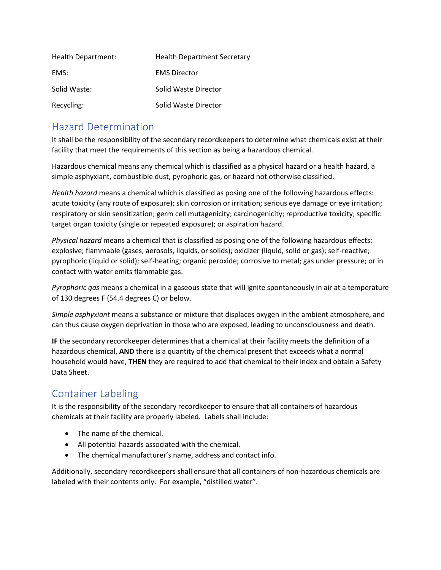| Health Department: | <b>Health Department Secretary</b> |
|--------------------|------------------------------------|
| EMS:               | <b>EMS Director</b>                |
| Solid Waste:       | Solid Waste Director               |
| Recycling:         | Solid Waste Director               |

## Hazard Determination

It shall be the responsibility of the secondary recordkeepers to determine what chemicals exist at their facility that meet the requirements of this section as being a hazardous chemical.

Hazardous chemical means any chemical which is classified as a physical hazard or a health hazard, a simple asphyxiant, combustible dust, pyrophoric gas, or hazard not otherwise classified.

*Health hazard* means a chemical which is classified as posing one of the following hazardous effects: acute toxicity (any route of exposure); skin corrosion or irritation; serious eye damage or eye irritation; respiratory or skin sensitization; germ cell mutagenicity; carcinogenicity; reproductive toxicity; specific target organ toxicity (single or repeated exposure); or aspiration hazard.

*Physical hazard* means a chemical that is classified as posing one of the following hazardous effects: explosive; flammable (gases, aerosols, liquids, or solids); oxidizer (liquid, solid or gas); self-reactive; pyrophoric (liquid or solid); self-heating; organic peroxide; corrosive to metal; gas under pressure; or in contact with water emits flammable gas.

*Pyrophoric gas* means a chemical in a gaseous state that will ignite spontaneously in air at a temperature of 130 degrees F (54.4 degrees C) or below.

*Simple asphyxiant* means a substance or mixture that displaces oxygen in the ambient atmosphere, and can thus cause oxygen deprivation in those who are exposed, leading to unconsciousness and death.

**IF** the secondary recordkeeper determines that a chemical at their facility meets the definition of a hazardous chemical, **AND** there is a quantity of the chemical present that exceeds what a normal household would have, **THEN** they are required to add that chemical to their index and obtain a Safety Data Sheet.

# Container Labeling

It is the responsibility of the secondary recordkeeper to ensure that all containers of hazardous chemicals at their facility are properly labeled. Labels shall include:

- The name of the chemical.
- All potential hazards associated with the chemical.
- The chemical manufacturer's name, address and contact info.

Additionally, secondary recordkeepers shall ensure that all containers of non-hazardous chemicals are labeled with their contents only. For example, "distilled water".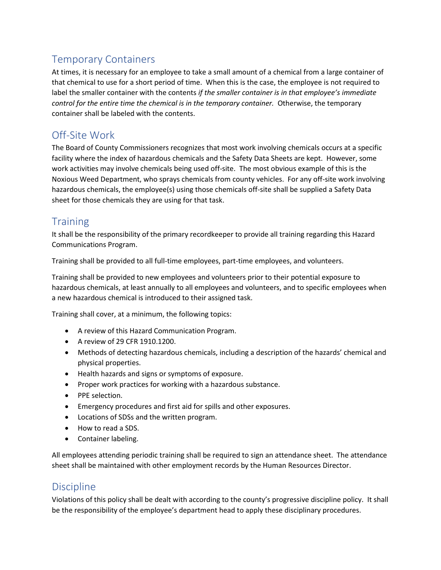# Temporary Containers

At times, it is necessary for an employee to take a small amount of a chemical from a large container of that chemical to use for a short period of time. When this is the case, the employee is not required to label the smaller container with the contents *if the smaller container is in that employee's immediate control for the entire time the chemical is in the temporary container.* Otherwise, the temporary container shall be labeled with the contents.

# Off-Site Work

The Board of County Commissioners recognizes that most work involving chemicals occurs at a specific facility where the index of hazardous chemicals and the Safety Data Sheets are kept. However, some work activities may involve chemicals being used off-site. The most obvious example of this is the Noxious Weed Department, who sprays chemicals from county vehicles. For any off-site work involving hazardous chemicals, the employee(s) using those chemicals off-site shall be supplied a Safety Data sheet for those chemicals they are using for that task.

## **Training**

It shall be the responsibility of the primary recordkeeper to provide all training regarding this Hazard Communications Program.

Training shall be provided to all full-time employees, part-time employees, and volunteers.

Training shall be provided to new employees and volunteers prior to their potential exposure to hazardous chemicals, at least annually to all employees and volunteers, and to specific employees when a new hazardous chemical is introduced to their assigned task.

Training shall cover, at a minimum, the following topics:

- A review of this Hazard Communication Program.
- A review of 29 CFR 1910.1200.
- Methods of detecting hazardous chemicals, including a description of the hazards' chemical and physical properties.
- Health hazards and signs or symptoms of exposure.
- Proper work practices for working with a hazardous substance.
- PPE selection.
- Emergency procedures and first aid for spills and other exposures.
- Locations of SDSs and the written program.
- How to read a SDS.
- Container labeling.

All employees attending periodic training shall be required to sign an attendance sheet. The attendance sheet shall be maintained with other employment records by the Human Resources Director.

#### **Discipline**

Violations of this policy shall be dealt with according to the county's progressive discipline policy. It shall be the responsibility of the employee's department head to apply these disciplinary procedures.